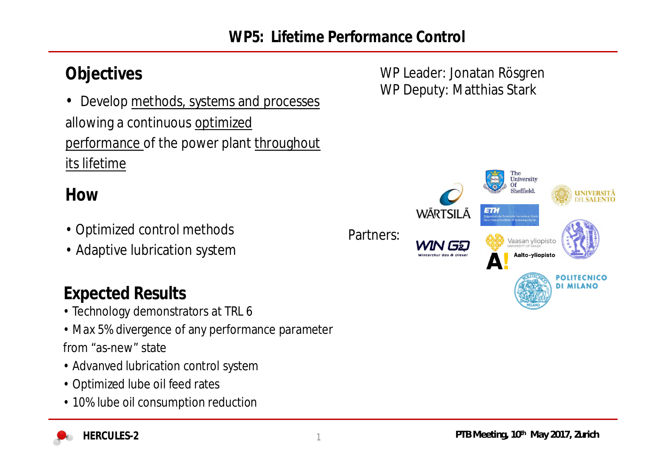• Develop methods, systems and processes allowing a continuous optimized performance of the power plant throughout its lifetime

### **How**

- Optimized control methods
- Adaptive lubrication system

# **Expected Results**

- Technology demonstrators at TRL 6
- Max 5% divergence of any performance parameter

from "as-new" state

- Advanved lubrication control system
- Optimized lube oil feed rates
- 10% lube oil consumption reduction

**Objectives** WP Leader: Jonatan Rösgren WP Deputy: Matthias Stark



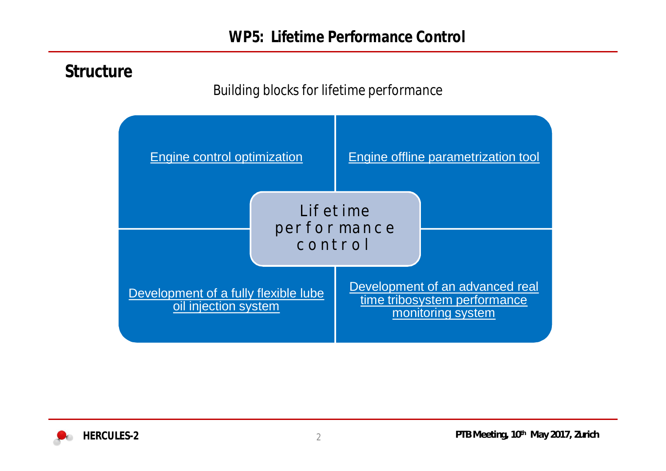## **Structure**

#### *Building blocks for lifetime performance*



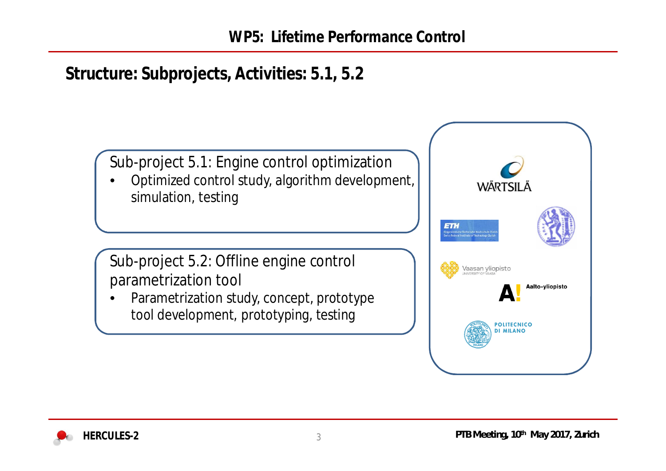# **Structure: Subprojects, Activities: 5.1, 5.2**

Sub-project 5.1: Engine control optimization

• Optimized control study, algorithm development, simulation, testing

Sub-project 5.2: Offline engine control parametrization tool

Parametrization study, concept, prototype tool development, prototyping, testing

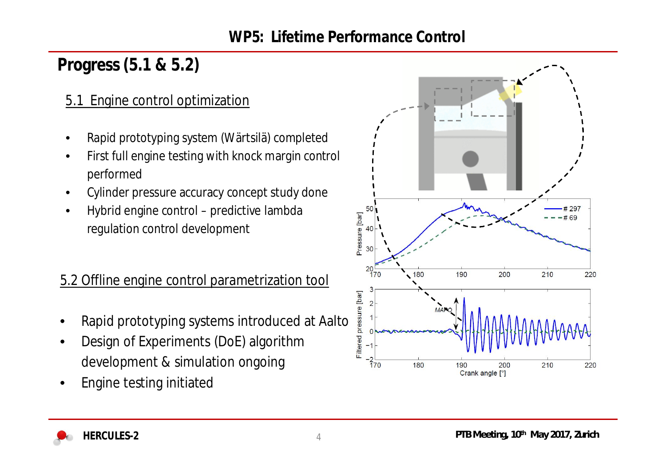# **Progress (5.1 & 5.2)**

#### 5.1 Engine control optimization

- Rapid prototyping system (Wärtsilä) completed
- First full engine testing with knock margin control performed
- Cylinder pressure accuracy concept study done
- Hybrid engine control predictive lambda regulation control development

## 5.2 Offline engine control parametrization tool

- Rapid prototyping systems introduced at Aalto
- Design of Experiments (DoE) algorithm development & simulation ongoing
- Engine testing initiated



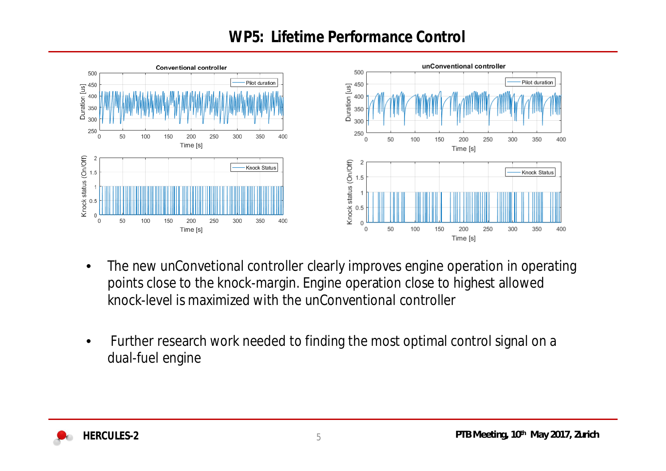## **WP5: Lifetime Performance Control**



- The new unConvetional controller clearly improves engine operation in operating points close to the knock-margin. Engine operation close to highest allowed knock-level is maximized with the unConventional controller
- Further research work needed to finding the most optimal control signal on a dual-fuel engine

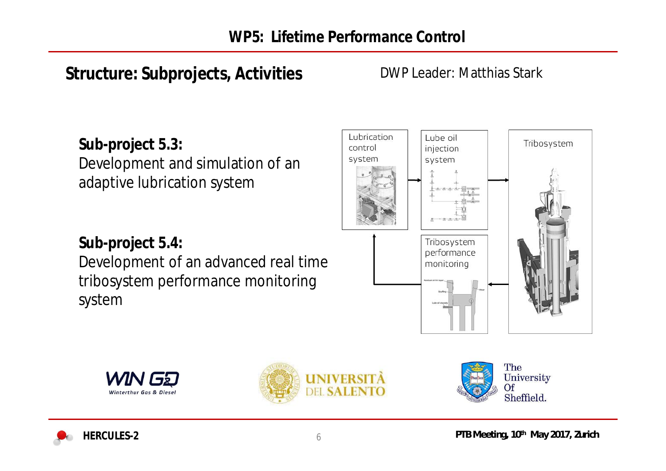# **Structure: Subprojects, Activities**

#### DWP Leader: Matthias Stark

**Sub-project 5.3:** Development and simulation of an adaptive lubrication system

**Sub-project 5.4:** Development of an advanced real time tribosystem performance monitoring system







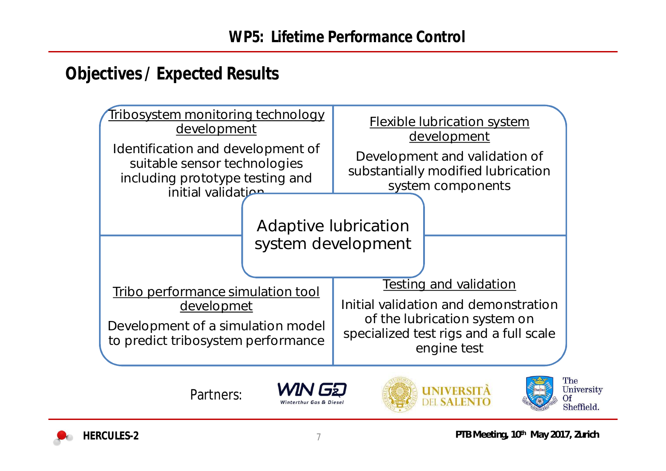## **Objectives / Expected Results**



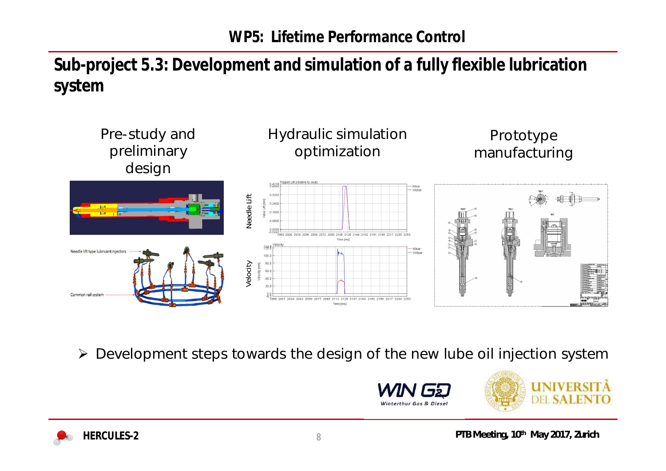**Sub-project 5.3: Development and simulation of a fully flexible lubrication system**



¾ Development steps towards the design of the new lube oil injection system



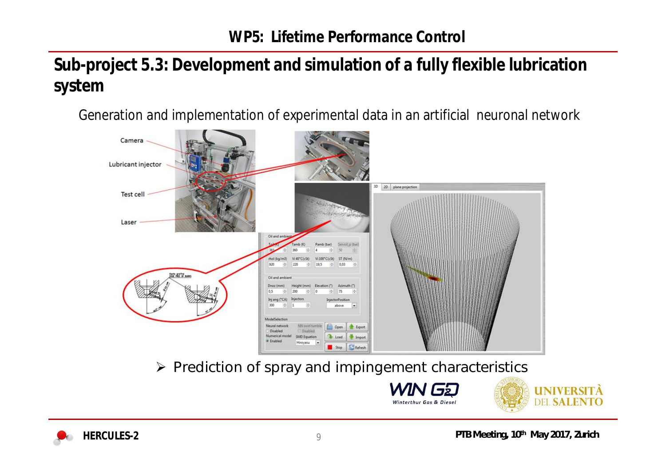## **Sub-project 5.3: Development and simulation of a fully flexible lubrication system**

Generation and implementation of experimental data in an artificial neuronal network